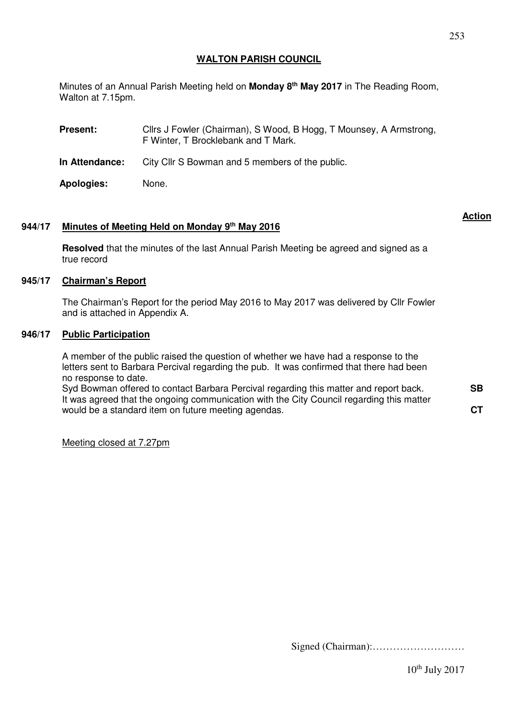Minutes of an Annual Parish Meeting held on **Monday 8th May 2017** in The Reading Room, Walton at 7.15pm.

**Present:** Cllrs J Fowler (Chairman), S Wood, B Hogg, T Mounsey, A Armstrong, F Winter, T Brocklebank and T Mark.

**In Attendance:** City Cllr S Bowman and 5 members of the public.

**Apologies:** None.

## **944/17 Minutes of Meeting Held on Monday 9 th May 2016**

**Resolved** that the minutes of the last Annual Parish Meeting be agreed and signed as a true record

### **945/17 Chairman's Report**

The Chairman's Report for the period May 2016 to May 2017 was delivered by Cllr Fowler and is attached in Appendix A.

#### **946/17 Public Participation**

A member of the public raised the question of whether we have had a response to the letters sent to Barbara Percival regarding the pub. It was confirmed that there had been no response to date.

Syd Bowman offered to contact Barbara Percival regarding this matter and report back. It was agreed that the ongoing communication with the City Council regarding this matter would be a standard item on future meeting agendas.

Meeting closed at 7.27pm

Signed (Chairman):………………………

 $10^{th}$  July 2017

**Action**

**SB** 

**CT**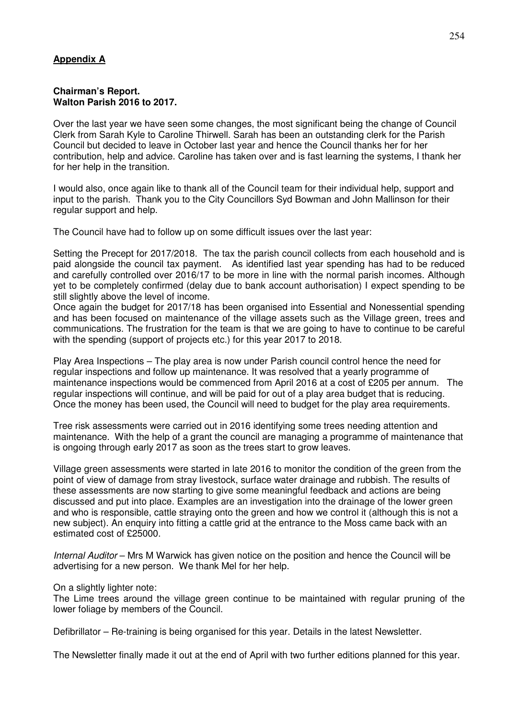# **Appendix A**

#### **Chairman's Report. Walton Parish 2016 to 2017.**

Over the last year we have seen some changes, the most significant being the change of Council Clerk from Sarah Kyle to Caroline Thirwell. Sarah has been an outstanding clerk for the Parish Council but decided to leave in October last year and hence the Council thanks her for her contribution, help and advice. Caroline has taken over and is fast learning the systems, I thank her for her help in the transition.

I would also, once again like to thank all of the Council team for their individual help, support and input to the parish. Thank you to the City Councillors Syd Bowman and John Mallinson for their regular support and help.

The Council have had to follow up on some difficult issues over the last year:

Setting the Precept for 2017/2018. The tax the parish council collects from each household and is paid alongside the council tax payment. As identified last year spending has had to be reduced and carefully controlled over 2016/17 to be more in line with the normal parish incomes. Although yet to be completely confirmed (delay due to bank account authorisation) I expect spending to be still slightly above the level of income.

Once again the budget for 2017/18 has been organised into Essential and Nonessential spending and has been focused on maintenance of the village assets such as the Village green, trees and communications. The frustration for the team is that we are going to have to continue to be careful with the spending (support of projects etc.) for this year 2017 to 2018.

Play Area Inspections – The play area is now under Parish council control hence the need for regular inspections and follow up maintenance. It was resolved that a yearly programme of maintenance inspections would be commenced from April 2016 at a cost of £205 per annum. The regular inspections will continue, and will be paid for out of a play area budget that is reducing. Once the money has been used, the Council will need to budget for the play area requirements.

Tree risk assessments were carried out in 2016 identifying some trees needing attention and maintenance. With the help of a grant the council are managing a programme of maintenance that is ongoing through early 2017 as soon as the trees start to grow leaves.

Village green assessments were started in late 2016 to monitor the condition of the green from the point of view of damage from stray livestock, surface water drainage and rubbish. The results of these assessments are now starting to give some meaningful feedback and actions are being discussed and put into place. Examples are an investigation into the drainage of the lower green and who is responsible, cattle straying onto the green and how we control it (although this is not a new subject). An enquiry into fitting a cattle grid at the entrance to the Moss came back with an estimated cost of £25000.

Internal Auditor – Mrs M Warwick has given notice on the position and hence the Council will be advertising for a new person. We thank Mel for her help.

On a slightly lighter note:

The Lime trees around the village green continue to be maintained with regular pruning of the lower foliage by members of the Council.

Defibrillator – Re-training is being organised for this year. Details in the latest Newsletter.

The Newsletter finally made it out at the end of April with two further editions planned for this year.